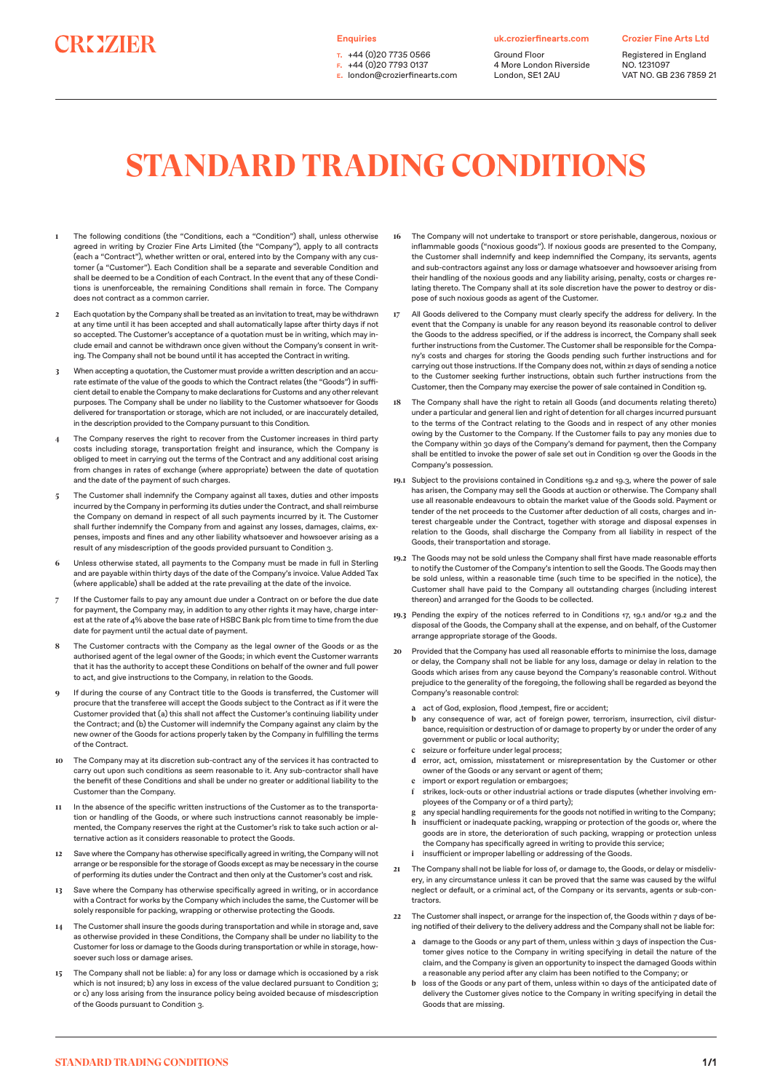## **CROZIER**

**Enquiries** 

**t.** +44 (0)20 7735 0566 **f.** +44 (0)20 7793 0137 **e.** london@crozierfinearts.com **uk.crozierfinearts.com**

Ground Floor 4 More London Riverside London, SE1 2AU

**Crozier Fine Arts Ltd**

Registered in England NO. 1231097 VAT NO. GB 236 7859 21

## **STANDARD TRADING CONDITIONS**

- **1** The following conditions (the "Conditions, each a "Condition") shall, unless otherwise agreed in writing by Crozier Fine Arts Limited (the "Company"), apply to all contracts (each a "Contract"), whether written or oral, entered into by the Company with any customer (a "Customer"). Each Condition shall be a separate and severable Condition and shall be deemed to be a Condition of each Contract. In the event that any of these Conditions is unenforceable, the remaining Conditions shall remain in force. The Company does not contract as a common carrier.
- **2** Each quotation by the Company shall be treated as an invitation to treat, may be withdrawn at any time until it has been accepted and shall automatically lapse after thirty days if not so accepted. The Customer's acceptance of a quotation must be in writing, which may include email and cannot be withdrawn once given without the Company's consent in writing. The Company shall not be bound until it has accepted the Contract in writing.
- **3** When accepting a quotation, the Customer must provide a written description and an accurate estimate of the value of the goods to which the Contract relates (the "Goods") in sufficient detail to enable the Company to make declarations for Customs and any other relevant purposes. The Company shall be under no liability to the Customer whatsoever for Goods delivered for transportation or storage, which are not included, or are inaccurately detailed, in the description provided to the Company pursuant to this Condition.
- **4** The Company reserves the right to recover from the Customer increases in third party costs including storage, transportation freight and insurance, which the Company is obliged to meet in carrying out the terms of the Contract and any additional cost arising from changes in rates of exchange (where appropriate) between the date of quotation and the date of the payment of such charges.
- **5** The Customer shall indemnify the Company against all taxes, duties and other imposts incurred by the Company in performing its duties under the Contract, and shall reimburse the Company on demand in respect of all such payments incurred by it. The Customer shall further indemnify the Company from and against any losses, damages, claims, expenses, imposts and fines and any other liability whatsoever and howsoever arising as a result of any misdescription of the goods provided pursuant to Condition 3.
- **6** Unless otherwise stated, all payments to the Company must be made in full in Sterling and are payable within thirty days of the date of the Company's invoice. Value Added Tax (where applicable) shall be added at the rate prevailing at the date of the invoice.
- **7** If the Customer fails to pay any amount due under a Contract on or before the due date for payment, the Company may, in addition to any other rights it may have, charge interest at the rate of 4% above the base rate of HSBC Bank plc from time to time from the due date for payment until the actual date of payment.
- **8** The Customer contracts with the Company as the legal owner of the Goods or as the authorised agent of the legal owner of the Goods; in which event the Customer warrants that it has the authority to accept these Conditions on behalf of the owner and full power to act, and give instructions to the Company, in relation to the Goods.
- **9** If during the course of any Contract title to the Goods is transferred, the Customer will procure that the transferee will accept the Goods subject to the Contract as if it were the Customer provided that (a) this shall not affect the Customer's continuing liability under the Contract; and (b) the Customer will indemnify the Company against any claim by the new owner of the Goods for actions properly taken by the Company in fulfilling the terms of the Contract.
- **10** The Company may at its discretion sub-contract any of the services it has contracted to carry out upon such conditions as seem reasonable to it. Any sub-contractor shall have the benefit of these Conditions and shall be under no greater or additional liability to the Customer than the Company.
- **11** In the absence of the specific written instructions of the Customer as to the transportation or handling of the Goods, or where such instructions cannot reasonably be implemented, the Company reserves the right at the Customer's risk to take such action or alternative action as it considers reasonable to protect the Goods.
- **12** Save where the Company has otherwise specifically agreed in writing, the Company will not arrange or be responsible for the storage of Goods except as may be necessary in the course of performing its duties under the Contract and then only at the Customer's cost and risk.
- **13** Save where the Company has otherwise specifically agreed in writing, or in accordance with a Contract for works by the Company which includes the same, the Customer will be solely responsible for packing, wrapping or otherwise protecting the Goods.
- **14** The Customer shall insure the goods during transportation and while in storage and, save as otherwise provided in these Conditions, the Company shall be under no liability to the Customer for loss or damage to the Goods during transportation or while in storage, howsoever such loss or damage arises.
- **15** The Company shall not be liable: a) for any loss or damage which is occasioned by a risk which is not insured; b) any loss in excess of the value declared pursuant to Condition 3; or c) any loss arising from the insurance policy being avoided because of misdescription of the Goods pursuant to Condition 3.
- **16** The Company will not undertake to transport or store perishable, dangerous, noxious or inflammable goods ("noxious goods"). If noxious goods are presented to the Company, the Customer shall indemnify and keep indemnified the Company, its servants, agents and sub-contractors against any loss or damage whatsoever and howsoever arising from their handling of the noxious goods and any liability arising, penalty, costs or charges relating thereto. The Company shall at its sole discretion have the power to destroy or dispose of such noxious goods as agent of the Customer.
- **17** All Goods delivered to the Company must clearly specify the address for delivery. In the event that the Company is unable for any reason beyond its reasonable control to deliver the Goods to the address specified, or if the address is incorrect, the Company shall seek further instructions from the Customer. The Customer shall be responsible for the Company's costs and charges for storing the Goods pending such further instructions and for carrying out those instructions. If the Company does not, within 21 days of sending a notice to the Customer seeking further instructions, obtain such further instructions from the Customer, then the Company may exercise the power of sale contained in Condition 19.
- **18** The Company shall have the right to retain all Goods (and documents relating thereto) under a particular and general lien and right of detention for all charges incurred pursuant to the terms of the Contract relating to the Goods and in respect of any other monies owing by the Customer to the Company. If the Customer fails to pay any monies due to the Company within 30 days of the Company's demand for payment, then the Company shall be entitled to invoke the power of sale set out in Condition 19 over the Goods in the Company's possession.
- **19.1** Subject to the provisions contained in Conditions 19.2 and 19.3, where the power of sale has arisen, the Company may sell the Goods at auction or otherwise. The Company shall use all reasonable endeavours to obtain the market value of the Goods sold. Payment or tender of the net proceeds to the Customer after deduction of all costs, charges and interest chargeable under the Contract, together with storage and disposal expenses in relation to the Goods, shall discharge the Company from all liability in respect of the Goods, their transportation and storage.
- **19.2** The Goods may not be sold unless the Company shall first have made reasonable efforts to notify the Customer of the Company's intention to sell the Goods. The Goods may then be sold unless, within a reasonable time (such time to be specified in the notice), the Customer shall have paid to the Company all outstanding charges (including interest thereon) and arranged for the Goods to be collected.
- **19.3** Pending the expiry of the notices referred to in Conditions 17, 19.1 and/or 19.2 and the disposal of the Goods, the Company shall at the expense, and on behalf, of the Customer arrange appropriate storage of the Goods.
- **20** Provided that the Company has used all reasonable efforts to minimise the loss, damage or delay, the Company shall not be liable for any loss, damage or delay in relation to the Goods which arises from any cause beyond the Company's reasonable control. Without prejudice to the generality of the foregoing, the following shall be regarded as beyond the Company's reasonable control:
	- a act of God, explosion, flood, tempest, fire or accident;
	- **b** any consequence of war, act of foreign power, terrorism, insurrection, civil disturbance, requisition or destruction of or damage to property by or under the order of any government or public or local authority;
	- **c** seizure or forfeiture under legal process;
	- **d** error, act, omission, misstatement or misrepresentation by the Customer or other owner of the Goods or any servant or agent of them;
	- import or export regulation or embargoes;
	- **f** strikes, lock-outs or other industrial actions or trade disputes (whether involving employees of the Company or of a third party);
	- any special handling requirements for the goods not notified in writing to the Company; **h** insufficient or inadequate packing, wrapping or protection of the goods or, where the goods are in store, the deterioration of such packing, wrapping or protection unless the Company has specifically agreed in writing to provide this service;
	- **i** insufficient or improper labelling or addressing of the Goods.
- **21** The Company shall not be liable for loss of, or damage to, the Goods, or delay or misdelivery, in any circumstance unless it can be proved that the same was caused by the wilful neglect or default, or a criminal act, of the Company or its servants, agents or sub-contractors.
- **22** The Customer shall inspect, or arrange for the inspection of, the Goods within 7 days of being notified of their delivery to the delivery address and the Company shall not be liable for:
	- a damage to the Goods or any part of them, unless within 3 days of inspection the Customer gives notice to the Company in writing specifying in detail the nature of the claim, and the Company is given an opportunity to inspect the damaged Goods within a reasonable any period after any claim has been notified to the Company; or
	- **b** loss of the Goods or any part of them, unless within 10 days of the anticipated date of delivery the Customer gives notice to the Company in writing specifying in detail the Goods that are missing.